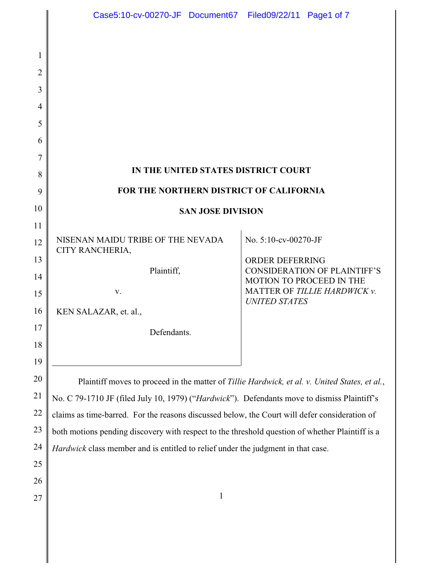|                | Case5:10-cv-00270-JF Document67 Filed09/22/11 Page1 of 7                                                                                                                                     |  |                        |                                                          |
|----------------|----------------------------------------------------------------------------------------------------------------------------------------------------------------------------------------------|--|------------------------|----------------------------------------------------------|
|                |                                                                                                                                                                                              |  |                        |                                                          |
| 1              |                                                                                                                                                                                              |  |                        |                                                          |
| $\overline{2}$ |                                                                                                                                                                                              |  |                        |                                                          |
| 3              |                                                                                                                                                                                              |  |                        |                                                          |
| 4              |                                                                                                                                                                                              |  |                        |                                                          |
| 5              |                                                                                                                                                                                              |  |                        |                                                          |
| 6              |                                                                                                                                                                                              |  |                        |                                                          |
| 7              |                                                                                                                                                                                              |  |                        |                                                          |
| 8              | IN THE UNITED STATES DISTRICT COURT                                                                                                                                                          |  |                        |                                                          |
| 9              | FOR THE NORTHERN DISTRICT OF CALIFORNIA                                                                                                                                                      |  |                        |                                                          |
| 10             | <b>SAN JOSE DIVISION</b>                                                                                                                                                                     |  |                        |                                                          |
| 11             | NISENAN MAIDU TRIBE OF THE NEVADA                                                                                                                                                            |  | No. 5:10-cv-00270-JF   |                                                          |
| 12             | CITY RANCHERIA,                                                                                                                                                                              |  |                        |                                                          |
| 13             | Plaintiff,                                                                                                                                                                                   |  | <b>ORDER DEFERRING</b> | <b>CONSIDERATION OF PLAINTIFF'S</b>                      |
| 14<br>15       | V.                                                                                                                                                                                           |  |                        | MOTION TO PROCEED IN THE<br>MATTER OF TILLIE HARDWICK v. |
| 16             | KEN SALAZAR, et. al.,                                                                                                                                                                        |  | <b>UNITED STATES</b>   |                                                          |
| 17             |                                                                                                                                                                                              |  |                        |                                                          |
| 18             | Defendants.                                                                                                                                                                                  |  |                        |                                                          |
| 19             |                                                                                                                                                                                              |  |                        |                                                          |
| 20             |                                                                                                                                                                                              |  |                        |                                                          |
| 21             | Plaintiff moves to proceed in the matter of Tillie Hardwick, et al. v. United States, et al.,<br>No. C 79-1710 JF (filed July 10, 1979) ("Hardwick"). Defendants move to dismiss Plaintiff's |  |                        |                                                          |
| $22\,$         | claims as time-barred. For the reasons discussed below, the Court will defer consideration of                                                                                                |  |                        |                                                          |
| 23             | both motions pending discovery with respect to the threshold question of whether Plaintiff is a                                                                                              |  |                        |                                                          |
| 24             | Hardwick class member and is entitled to relief under the judgment in that case.                                                                                                             |  |                        |                                                          |
| 25             |                                                                                                                                                                                              |  |                        |                                                          |
| 26             |                                                                                                                                                                                              |  |                        |                                                          |
| 27             | $\mathbf{1}$                                                                                                                                                                                 |  |                        |                                                          |
|                |                                                                                                                                                                                              |  |                        |                                                          |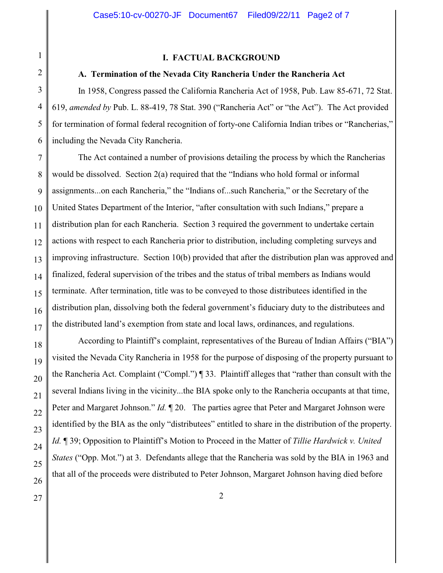1 2

#### **I. FACTUAL BACKGROUND**

#### **A. Termination of the Nevada City Rancheria Under the Rancheria Act**

3 4 5 6 In 1958, Congress passed the California Rancheria Act of 1958, Pub. Law 85-671, 72 Stat. 619, *amended by* Pub. L. 88-419, 78 Stat. 390 ("Rancheria Act" or "the Act"). The Act provided for termination of formal federal recognition of forty-one California Indian tribes or "Rancherias," including the Nevada City Rancheria.

7 8 9 10 11 12 13 14 15 16 17 The Act contained a number of provisions detailing the process by which the Rancherias would be dissolved. Section 2(a) required that the "Indians who hold formal or informal assignments...on each Rancheria," the "Indians of...such Rancheria," or the Secretary of the United States Department of the Interior, "after consultation with such Indians," prepare a distribution plan for each Rancheria. Section 3 required the government to undertake certain actions with respect to each Rancheria prior to distribution, including completing surveys and improving infrastructure. Section 10(b) provided that after the distribution plan was approved and finalized, federal supervision of the tribes and the status of tribal members as Indians would terminate. After termination, title was to be conveyed to those distributees identified in the distribution plan, dissolving both the federal government's fiduciary duty to the distributees and the distributed land's exemption from state and local laws, ordinances, and regulations.

18 19 20 21 22 23 24 25 26 According to Plaintiff's complaint, representatives of the Bureau of Indian Affairs ("BIA") visited the Nevada City Rancheria in 1958 for the purpose of disposing of the property pursuant to the Rancheria Act. Complaint ("Compl.") ¶ 33. Plaintiff alleges that "rather than consult with the several Indians living in the vicinity...the BIA spoke only to the Rancheria occupants at that time, Peter and Margaret Johnson." *Id.*  $\P$  20. The parties agree that Peter and Margaret Johnson were identified by the BIA as the only "distributees" entitled to share in the distribution of the property. *Id.* ¶ 39; Opposition to Plaintiff's Motion to Proceed in the Matter of *Tillie Hardwick v. United States* ("Opp. Mot.") at 3. Defendants allege that the Rancheria was sold by the BIA in 1963 and that all of the proceeds were distributed to Peter Johnson, Margaret Johnson having died before

27  $\parallel$  2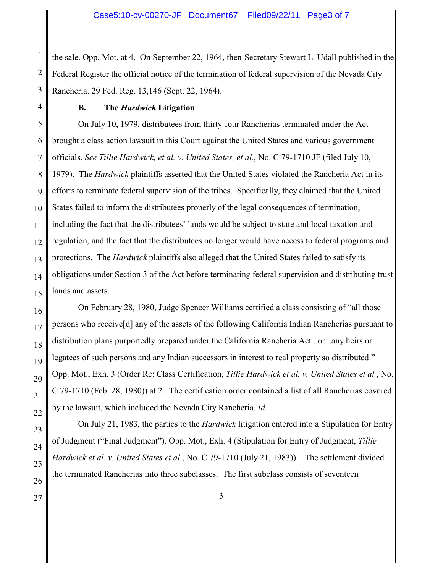1 2 3 the sale. Opp. Mot. at 4. On September 22, 1964, then-Secretary Stewart L. Udall published in the Federal Register the official notice of the termination of federal supervision of the Nevada City Rancheria. 29 Fed. Reg. 13,146 (Sept. 22, 1964).

4

## **B. The** *Hardwick* **Litigation**

5 6 7 8 9 On July 10, 1979, distributees from thirty-four Rancherias terminated under the Act brought a class action lawsuit in this Court against the United States and various government officials. *See Tillie Hardwick, et al. v. United States, et al.*, No. C 79-1710 JF (filed July 10, 1979). The *Hardwick* plaintiffs asserted that the United States violated the Rancheria Act in its efforts to terminate federal supervision of the tribes. Specifically, they claimed that the United States failed to inform the distributees properly of the legal consequences of termination, including the fact that the distributees' lands would be subject to state and local taxation and regulation, and the fact that the distributees no longer would have access to federal programs and protections. The *Hardwick* plaintiffs also alleged that the United States failed to satisfy its obligations under Section 3 of the Act before terminating federal supervision and distributing trust lands and assets.

On February 28, 1980, Judge Spencer Williams certified a class consisting of "all those persons who receive[d] any of the assets of the following California Indian Rancherias pursuant to distribution plans purportedly prepared under the California Rancheria Act...or...any heirs or legatees of such persons and any Indian successors in interest to real property so distributed." Opp. Mot., Exh. 3 (Order Re: Class Certification, *Tillie Hardwick et al. v. United States et al.*, No. C 79-1710 (Feb. 28, 1980)) at 2. The certification order contained a list of all Rancherias covered by the lawsuit, which included the Nevada City Rancheria. *Id*.

On July 21, 1983, the parties to the *Hardwick* litigation entered into a Stipulation for Entry of Judgment ("Final Judgment"). Opp. Mot., Exh. 4 (Stipulation for Entry of Judgment, *Tillie Hardwick et al. v. United States et al.*, No. C 79-1710 (July 21, 1983)). The settlement divided the terminated Rancherias into three subclasses. The first subclass consists of seventeen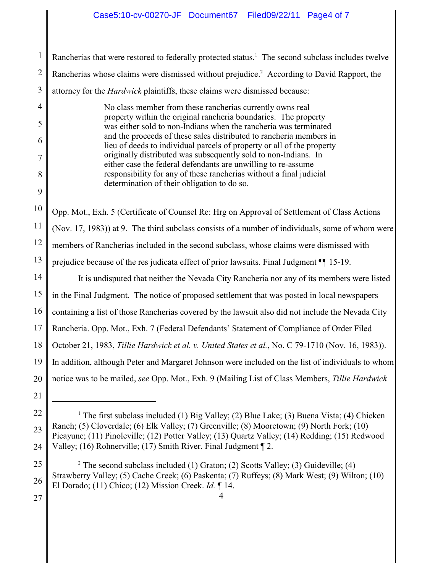1 2 3 Rancherias that were restored to federally protected status.<sup>1</sup> The second subclass includes twelve Rancherias whose claims were dismissed without prejudice.<sup>2</sup> According to David Rapport, the attorney for the *Hardwick* plaintiffs, these claims were dismissed because:

No class member from these rancherias currently owns real property within the original rancheria boundaries. The property was either sold to non-Indians when the rancheria was terminated and the proceeds of these sales distributed to rancheria members in lieu of deeds to individual parcels of property or all of the property originally distributed was subsequently sold to non-Indians. In either case the federal defendants are unwilling to re-assume responsibility for any of these rancherias without a final judicial determination of their obligation to do so.

10 Opp. Mot., Exh. 5 (Certificate of Counsel Re: Hrg on Approval of Settlement of Class Actions

11 (Nov. 17, 1983)) at 9. The third subclass consists of a number of individuals, some of whom were

12 members of Rancherias included in the second subclass, whose claims were dismissed with

13 prejudice because of the res judicata effect of prior lawsuits. Final Judgment ¶¶ 15-19.

14 15 16 17 18 19 20 It is undisputed that neither the Nevada City Rancheria nor any of its members were listed in the Final Judgment. The notice of proposed settlement that was posted in local newspapers containing a list of those Rancherias covered by the lawsuit also did not include the Nevada City Rancheria. Opp. Mot., Exh. 7 (Federal Defendants' Statement of Compliance of Order Filed October 21, 1983, *Tillie Hardwick et al. v. United States et al.*, No. C 79-1710 (Nov. 16, 1983)). In addition, although Peter and Margaret Johnson were included on the list of individuals to whom notice was to be mailed, *see* Opp. Mot., Exh. 9 (Mailing List of Class Members, *Tillie Hardwick*

27

21

4

5

6

7

8

<sup>22</sup> 23 24 <sup>1</sup> The first subclass included (1) Big Valley; (2) Blue Lake; (3) Buena Vista; (4) Chicken Ranch; (5) Cloverdale; (6) Elk Valley; (7) Greenville; (8) Mooretown; (9) North Fork; (10) Picayune; (11) Pinoleville; (12) Potter Valley; (13) Quartz Valley; (14) Redding; (15) Redwood Valley; (16) Rohnerville; (17) Smith River. Final Judgment ¶ 2.

<sup>25</sup> 26 <sup>2</sup> The second subclass included (1) Graton; (2) Scotts Valley; (3) Guideville; (4) Strawberry Valley; (5) Cache Creek; (6) Paskenta; (7) Ruffeys; (8) Mark West; (9) Wilton; (10) El Dorado; (11) Chico; (12) Mission Creek. *Id.* ¶ 14.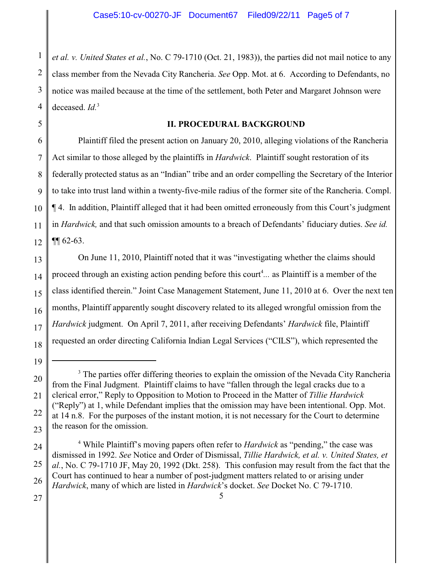1 2 3 4 *et al. v. United States et al.*, No. C 79-1710 (Oct. 21, 1983)), the parties did not mail notice to any class member from the Nevada City Rancheria. *See* Opp. Mot. at 6. According to Defendants, no notice was mailed because at the time of the settlement, both Peter and Margaret Johnson were deceased. *Id.*<sup>3</sup>

5

## **II. PROCEDURAL BACKGROUND**

6 7 8 9 10 11 12 Plaintiff filed the present action on January 20, 2010, alleging violations of the Rancheria Act similar to those alleged by the plaintiffs in *Hardwick*. Plaintiff sought restoration of its federally protected status as an "Indian" tribe and an order compelling the Secretary of the Interior to take into trust land within a twenty-five-mile radius of the former site of the Rancheria. Compl. ¶ 4. In addition, Plaintiff alleged that it had been omitted erroneously from this Court's judgment in *Hardwick,* and that such omission amounts to a breach of Defendants' fiduciary duties. *See id.*  $\P\P$  62-63.

13 14 15 16 17 18 On June 11, 2010, Plaintiff noted that it was "investigating whether the claims should proceed through an existing action pending before this court<sup>4</sup>... as Plaintiff is a member of the class identified therein." Joint Case Management Statement, June 11, 2010 at 6. Over the next ten months, Plaintiff apparently sought discovery related to its alleged wrongful omission from the *Hardwick* judgment. On April 7, 2011, after receiving Defendants' *Hardwick* file, Plaintiff requested an order directing California Indian Legal Services ("CILS"), which represented the

5

27

<sup>20</sup> 21 22 23 <sup>3</sup> The parties offer differing theories to explain the omission of the Nevada City Rancheria from the Final Judgment. Plaintiff claims to have "fallen through the legal cracks due to a clerical error," Reply to Opposition to Motion to Proceed in the Matter of *Tillie Hardwick* ("Reply") at 1, while Defendant implies that the omission may have been intentional. Opp. Mot. at 14 n.8. For the purposes of the instant motion, it is not necessary for the Court to determine the reason for the omission.

<sup>24</sup> 25 26 <sup>4</sup> While Plaintiff's moving papers often refer to *Hardwick* as "pending," the case was dismissed in 1992. *See* Notice and Order of Dismissal, *Tillie Hardwick, et al. v. United States, et al.*, No. C 79-1710 JF, May 20, 1992 (Dkt. 258). This confusion may result from the fact that the Court has continued to hear a number of post-judgment matters related to or arising under *Hardwick*, many of which are listed in *Hardwick*'s docket. *See* Docket No. C 79-1710.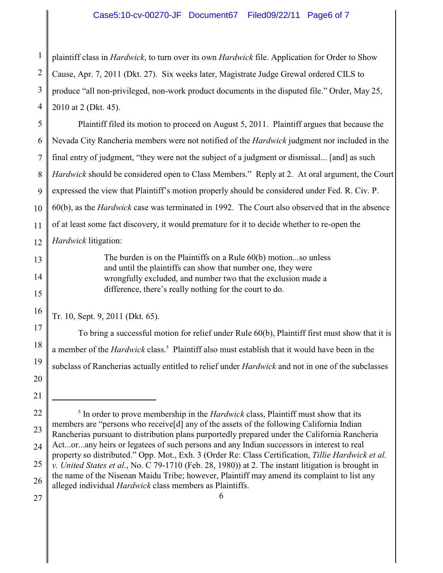1 2 3 4 plaintiff class in *Hardwick*, to turn over its own *Hardwick* file. Application for Order to Show Cause, Apr. 7, 2011 (Dkt. 27). Six weeks later, Magistrate Judge Grewal ordered CILS to produce "all non-privileged, non-work product documents in the disputed file." Order, May 25, 2010 at 2 (Dkt. 45).

5 6 7 8 9 10 11 12 Plaintiff filed its motion to proceed on August 5, 2011. Plaintiff argues that because the Nevada City Rancheria members were not notified of the *Hardwick* judgment nor included in the final entry of judgment, "they were not the subject of a judgment or dismissal... [and] as such *Hardwick* should be considered open to Class Members." Reply at 2. At oral argument, the Court expressed the view that Plaintiff's motion properly should be considered under Fed. R. Civ. P. 60(b), as the *Hardwick* case was terminated in 1992. The Court also observed that in the absence of at least some fact discovery, it would premature for it to decide whether to re-open the *Hardwick* litigation:

> The burden is on the Plaintiffs on a Rule 60(b) motion...so unless and until the plaintiffs can show that number one, they were wrongfully excluded, and number two that the exclusion made a difference, there's really nothing for the court to do.

Tr. 10, Sept. 9, 2011 (Dkt. 65).

To bring a successful motion for relief under Rule 60(b), Plaintiff first must show that it is a member of the *Hardwick* class.<sup>5</sup> Plaintiff also must establish that it would have been in the subclass of Rancherias actually entitled to relief under *Hardwick* and not in one of the subclasses

27

13

14

15

16

17

18

19

20

<sup>22</sup> 23 24 25 26  $<sup>5</sup>$  In order to prove membership in the *Hardwick* class, Plaintiff must show that its</sup> members are "persons who receive[d] any of the assets of the following California Indian Rancherias pursuant to distribution plans purportedly prepared under the California Rancheria Act...or...any heirs or legatees of such persons and any Indian successors in interest to real property so distributed." Opp. Mot., Exh. 3 (Order Re: Class Certification, *Tillie Hardwick et al. v. United States et al.*, No. C 79-1710 (Feb. 28, 1980)) at 2. The instant litigation is brought in the name of the Nisenan Maidu Tribe; however, Plaintiff may amend its complaint to list any alleged individual *Hardwick* class members as Plaintiffs.